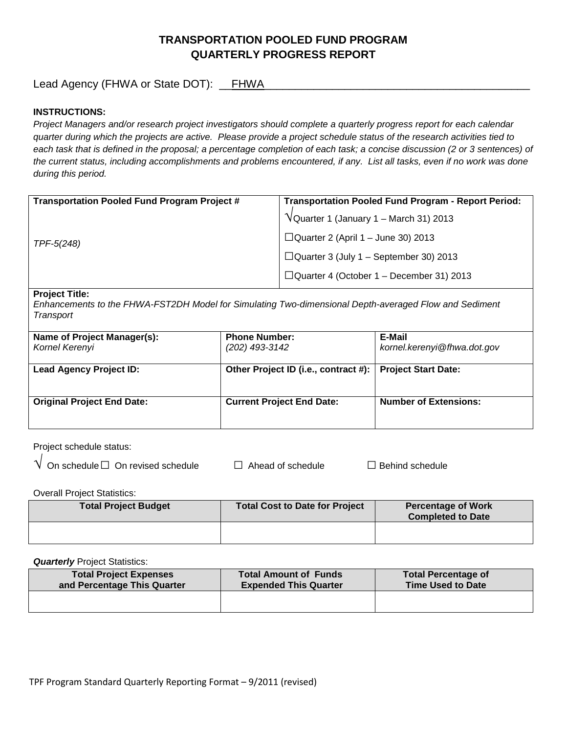# **TRANSPORTATION POOLED FUND PROGRAM QUARTERLY PROGRESS REPORT**

Lead Agency (FHWA or State DOT): \_\_FHWA

## **INSTRUCTIONS:**

*Project Managers and/or research project investigators should complete a quarterly progress report for each calendar quarter during which the projects are active. Please provide a project schedule status of the research activities tied to*  each task that is defined in the proposal; a percentage completion of each task; a concise discussion (2 or 3 sentences) of *the current status, including accomplishments and problems encountered, if any. List all tasks, even if no work was done during this period.*

| <b>Transportation Pooled Fund Program - Report Period:</b> |
|------------------------------------------------------------|
| $\sqrt{\frac{1}{2}}$ Quarter 1 (January 1 – March 31) 2013 |
| $\Box$ Quarter 2 (April 1 – June 30) 2013                  |
| $\Box$ Quarter 3 (July 1 – September 30) 2013              |
| $\Box$ Quarter 4 (October 1 – December 31) 2013            |
|                                                            |

#### **Project Title:**

*Enhancements to the FHWA-FST2DH Model for Simulating Two-dimensional Depth-averaged Flow and Sediment Transport*

| Name of Project Manager(s):<br>Kornel Kerenyi | <b>Phone Number:</b><br>(202) 493-3142 | E-Mail<br>kornel.kerenyi@fhwa.dot.gov |
|-----------------------------------------------|----------------------------------------|---------------------------------------|
| <b>Lead Agency Project ID:</b>                | Other Project ID (i.e., contract #):   | <b>Project Start Date:</b>            |
| <b>Original Project End Date:</b>             | <b>Current Project End Date:</b>       | <b>Number of Extensions:</b>          |

Project schedule status:

| $\sf{V}\,$ On schedule $\Box\,$ On revised schedul $\sf{s}$ |  |
|-------------------------------------------------------------|--|
|-------------------------------------------------------------|--|

e □ Ahead of schedule □ Behind schedule

Overall Project Statistics:

| <b>Total Project Budget</b> | <b>Total Cost to Date for Project</b> | <b>Percentage of Work</b><br><b>Completed to Date</b> |
|-----------------------------|---------------------------------------|-------------------------------------------------------|
|                             |                                       |                                                       |

**Quarterly** Project Statistics:

| <b>Total Project Expenses</b> | <b>Total Amount of Funds</b> | <b>Total Percentage of</b> |
|-------------------------------|------------------------------|----------------------------|
| and Percentage This Quarter   | <b>Expended This Quarter</b> | <b>Time Used to Date</b>   |
|                               |                              |                            |